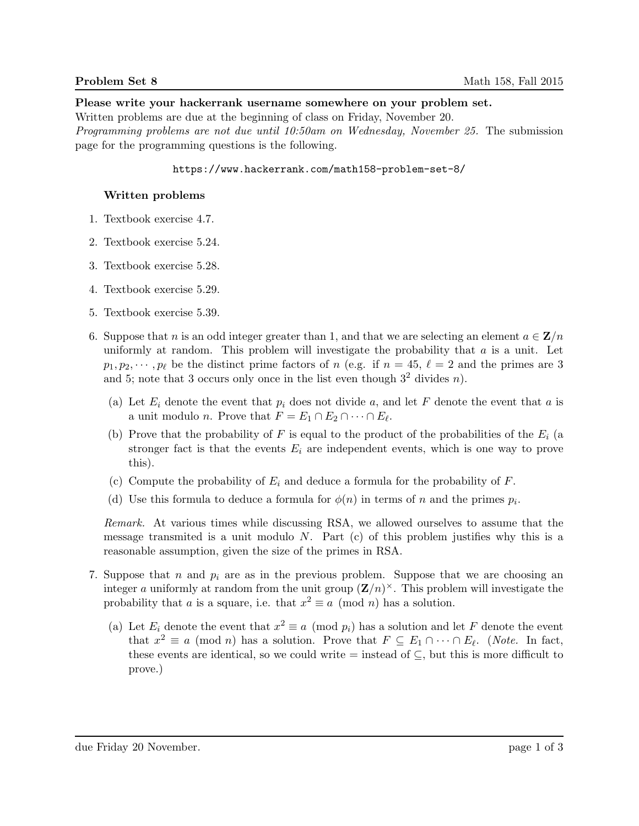#### Please write your hackerrank username somewhere on your problem set.

Written problems are due at the beginning of class on Friday, November 20.

Programming problems are not due until 10:50am on Wednesday, November 25. The submission page for the programming questions is the following.

### https://www.hackerrank.com/math158-problem-set-8/

# Written problems

- 1. Textbook exercise 4.7.
- 2. Textbook exercise 5.24.
- 3. Textbook exercise 5.28.
- 4. Textbook exercise 5.29.
- 5. Textbook exercise 5.39.
- 6. Suppose that n is an odd integer greater than 1, and that we are selecting an element  $a \in \mathbf{Z}/n$ uniformly at random. This problem will investigate the probability that  $a$  is a unit. Let  $p_1, p_2, \dots, p_\ell$  be the distinct prime factors of n (e.g. if  $n = 45, \ell = 2$  and the primes are 3 and 5; note that 3 occurs only once in the list even though  $3^2$  divides n).
	- (a) Let  $E_i$  denote the event that  $p_i$  does not divide a, and let F denote the event that a is a unit modulo *n*. Prove that  $F = E_1 \cap E_2 \cap \cdots \cap E_\ell$ .
	- (b) Prove that the probability of F is equal to the product of the probabilities of the  $E_i$  (a stronger fact is that the events  $E_i$  are independent events, which is one way to prove this).
	- (c) Compute the probability of  $E_i$  and deduce a formula for the probability of  $F$ .
	- (d) Use this formula to deduce a formula for  $\phi(n)$  in terms of n and the primes  $p_i$ .

Remark. At various times while discussing RSA, we allowed ourselves to assume that the message transmited is a unit modulo  $N$ . Part (c) of this problem justifies why this is a reasonable assumption, given the size of the primes in RSA.

- 7. Suppose that n and  $p_i$  are as in the previous problem. Suppose that we are choosing an integer a uniformly at random from the unit group  $(\mathbf{Z}/n)^{\times}$ . This problem will investigate the probability that a is a square, i.e. that  $x^2 \equiv a \pmod{n}$  has a solution.
	- (a) Let  $E_i$  denote the event that  $x^2 \equiv a \pmod{p_i}$  has a solution and let F denote the event that  $x^2 \equiv a \pmod{n}$  has a solution. Prove that  $F \subseteq E_1 \cap \cdots \cap E_{\ell}$ . (Note. In fact, these events are identical, so we could write  $=$  instead of  $\subseteq$ , but this is more difficult to prove.)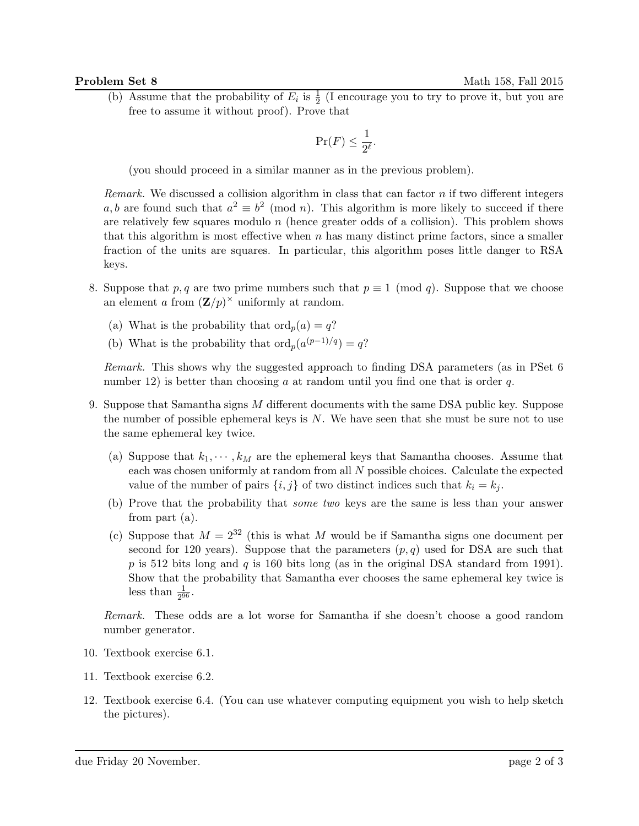(b) Assume that the probability of  $E_i$  is  $\frac{1}{2}$  (I encourage you to try to prove it, but you are free to assume it without proof). Prove that

$$
\Pr(F) \le \frac{1}{2^{\ell}}.
$$

(you should proceed in a similar manner as in the previous problem).

Remark. We discussed a collision algorithm in class that can factor  $n$  if two different integers a, b are found such that  $a^2 \equiv b^2 \pmod{n}$ . This algorithm is more likely to succeed if there are relatively few squares modulo  $n$  (hence greater odds of a collision). This problem shows that this algorithm is most effective when  $n$  has many distinct prime factors, since a smaller fraction of the units are squares. In particular, this algorithm poses little danger to RSA keys.

- 8. Suppose that p, q are two prime numbers such that  $p \equiv 1 \pmod{q}$ . Suppose that we choose an element a from  $(\mathbf{Z}/p)^{\times}$  uniformly at random.
	- (a) What is the probability that  $\text{ord}_p(a) = q?$
	- (b) What is the probability that  $\text{ord}_p(a^{(p-1)/q}) = q?$

Remark. This shows why the suggested approach to finding DSA parameters (as in PSet 6 number 12) is better than choosing a at random until you find one that is order  $q$ .

- 9. Suppose that Samantha signs M different documents with the same DSA public key. Suppose the number of possible ephemeral keys is  $N$ . We have seen that she must be sure not to use the same ephemeral key twice.
	- (a) Suppose that  $k_1, \dots, k_M$  are the ephemeral keys that Samantha chooses. Assume that each was chosen uniformly at random from all N possible choices. Calculate the expected value of the number of pairs  $\{i, j\}$  of two distinct indices such that  $k_i = k_j$ .
	- (b) Prove that the probability that some two keys are the same is less than your answer from part (a).
	- (c) Suppose that  $M = 2^{32}$  (this is what M would be if Samantha signs one document per second for 120 years). Suppose that the parameters  $(p, q)$  used for DSA are such that p is 512 bits long and q is 160 bits long (as in the original DSA standard from 1991). Show that the probability that Samantha ever chooses the same ephemeral key twice is less than  $\frac{1}{2^{96}}$ .

Remark. These odds are a lot worse for Samantha if she doesn't choose a good random number generator.

- 10. Textbook exercise 6.1.
- 11. Textbook exercise 6.2.
- 12. Textbook exercise 6.4. (You can use whatever computing equipment you wish to help sketch the pictures).